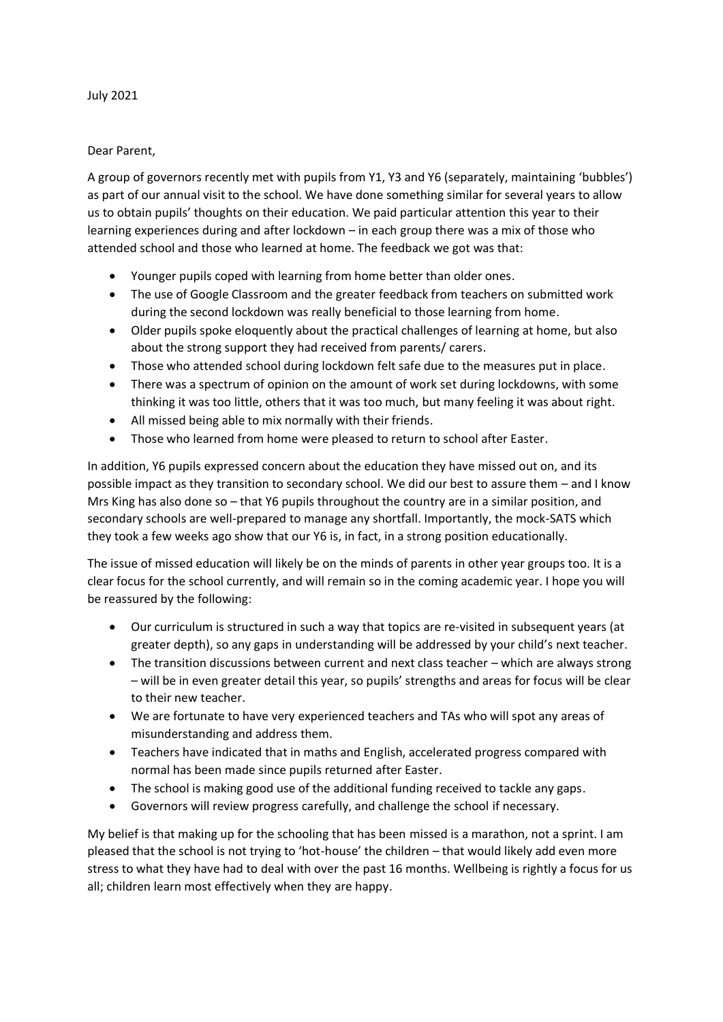## July 2021

## Dear Parent,

A group of governors recently met with pupils from Y1, Y3 and Y6 (separately, maintaining 'bubbles') as part of our annual visit to the school. We have done something similar for several years to allow us to obtain pupils' thoughts on their education. We paid particular attention this year to their learning experiences during and after lockdown – in each group there was a mix of those who attended school and those who learned at home. The feedback we got was that:

- Younger pupils coped with learning from home better than older ones.
- The use of Google Classroom and the greater feedback from teachers on submitted work during the second lockdown was really beneficial to those learning from home.
- Older pupils spoke eloquently about the practical challenges of learning at home, but also about the strong support they had received from parents/ carers.
- Those who attended school during lockdown felt safe due to the measures put in place.
- There was a spectrum of opinion on the amount of work set during lockdowns, with some thinking it was too little, others that it was too much, but many feeling it was about right.
- All missed being able to mix normally with their friends.
- Those who learned from home were pleased to return to school after Easter.

In addition, Y6 pupils expressed concern about the education they have missed out on, and its possible impact as they transition to secondary school. We did our best to assure them – and I know Mrs King has also done so – that Y6 pupils throughout the country are in a similar position, and secondary schools are well-prepared to manage any shortfall. Importantly, the mock-SATS which they took a few weeks ago show that our Y6 is, in fact, in a strong position educationally.

The issue of missed education will likely be on the minds of parents in other year groups too. It is a clear focus for the school currently, and will remain so in the coming academic year. I hope you will be reassured by the following:

- Our curriculum is structured in such a way that topics are re-visited in subsequent years (at greater depth), so any gaps in understanding will be addressed by your child's next teacher.
- The transition discussions between current and next class teacher which are always strong – will be in even greater detail this year, so pupils' strengths and areas for focus will be clear to their new teacher.
- We are fortunate to have very experienced teachers and TAs who will spot any areas of misunderstanding and address them.
- Teachers have indicated that in maths and English, accelerated progress compared with normal has been made since pupils returned after Easter.
- The school is making good use of the additional funding received to tackle any gaps.
- Governors will review progress carefully, and challenge the school if necessary.

My belief is that making up for the schooling that has been missed is a marathon, not a sprint. I am pleased that the school is not trying to 'hot-house' the children – that would likely add even more stress to what they have had to deal with over the past 16 months. Wellbeing is rightly a focus for us all; children learn most effectively when they are happy.